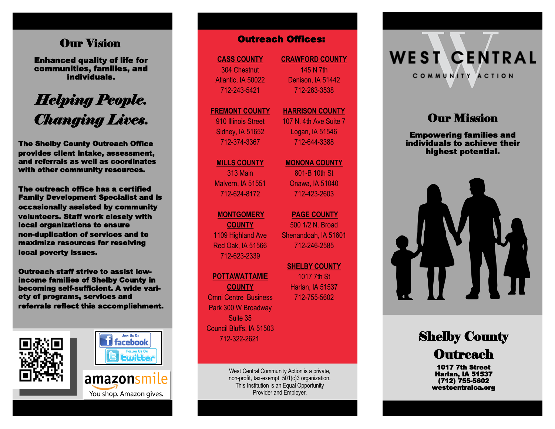## **Our Vision**

Enhanced quality of life for communities, families, and individuals.

# *Helping People. Changing Lives.*

The Shelby County Outreach Office provides client intake, assessment, and referrals as well as coordinates with other community resources.

The outreach office has a certified Family Development Specialist and is occasionally assisted by community volunteers. Staff work closely with local organizations to ensure non -duplication of services and to maximize resources for resolving local poverty issues. **Our Vision**<br> **Contract quality of life for**<br>
individuals.<br>
individuals.<br> **Examplifies, and**<br>
individuals.<br> **Examplifies, and**<br> **Examplifies and**<br> **Examplifies reflect to the state of the shelby Country Outreach Office<br>
Th** 

Outreach staff strive to assist lowincome families of Shelby County in becoming self-sufficient. A wide vari ety of programs, services and





#### **CASS COUNTY** 304 Chestnut Atlantic, IA 50022 712 -243 -5421

**FREMONT COUNTY** 910 Illinois Street Sidney, IA 51652 712 -374 -3367

**MILLS COUNTY** 313 Main Malvern, IA 51551 712 -624 -8172

## **MONTGOMERY**

**COUNTY** 1109 Highland Ave Red Oak, IA 51566 712 -623 -2339

#### **POTTAWATTAMIE**

**COUNTY** Omni Centre Business Park 300 W Broadway Suite 35 Council Bluffs, IA 51503 712 -322 -2621

> West Central Community Action is a private, non -profit, tax -exempt 501(c)3 organization. This Institution is an Equal Opportunity Provider and Employer.

**CRAWFORD COUNTY** 145 N 7th Denison, IA 51442 712 -263 -3538

#### **HARRISON COUNTY** 107 N. 4th Ave Suite 7

Logan, IA 51546 712 -644 -3388

**MONONA COUNTY**

801 -B 10th St Onawa, IA 51040 712 -423 -2603

**PAGE COUNTY**  500 1/2 N. Broad Shenandoah, IA 51601 712 -246 -2585

**SHELBY COUNTY**  1017 7th St Harlan, IA 51537 712 -755 -5602



# **Our Mission**

Empowering families and individuals to achieve their highest potential.



Shelby County **Outreach** 

> 1017 7th Street Harlan, IA 51537 (712) 755 -5602 westcentralca.org

You shop. Amazon gives.

amazonsmile